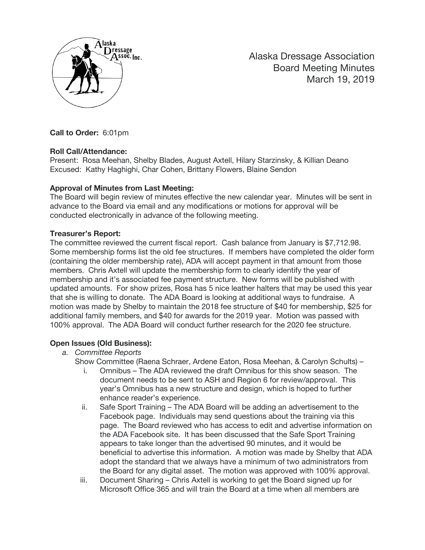

Alaska Dressage Association Board Meeting Minutes March 19, 2019

**Call to Order:** 6:01pm

#### **Roll Call/Attendance:**

Present: Rosa Meehan, Shelby Blades, August Axtell, Hilary Starzinsky, & Killian Deano Excused: Kathy Haghighi, Char Cohen, Brittany Flowers, Blaine Sendon

### **Approval of Minutes from Last Meeting:**

The Board will begin review of minutes effective the new calendar year. Minutes will be sent in advance to the Board via email and any modifications or motions for approval will be conducted electronically in advance of the following meeting.

### **Treasurer's Report:**

The committee reviewed the current fiscal report. Cash balance from January is \$7,712.98. Some membership forms list the old fee structures. If members have completed the older form (containing the older membership rate), ADA will accept payment in that amount from those members. Chris Axtell will update the membership form to clearly identify the year of membership and it's associated fee payment structure. New forms will be published with updated amounts. For show prizes, Rosa has 5 nice leather halters that may be used this year that she is willing to donate. The ADA Board is looking at additional ways to fundraise. A motion was made by Shelby to maintain the 2018 fee structure of \$40 for membership, \$25 for additional family members, and \$40 for awards for the 2019 year. Motion was passed with 100% approval. The ADA Board will conduct further research for the 2020 fee structure.

## **Open Issues (Old Business):**

*a. Committee Reports*

Show Committee (Raena Schraer, Ardene Eaton, Rosa Meehan, & Carolyn Schults) –

- i. Omnibus The ADA reviewed the draft Omnibus for this show season. The document needs to be sent to ASH and Region 6 for review/approval. This year's Omnibus has a new structure and design, which is hoped to further enhance reader's experience.
- ii. Safe Sport Training The ADA Board will be adding an advertisement to the Facebook page. Individuals may send questions about the training via this page. The Board reviewed who has access to edit and advertise information on the ADA Facebook site. It has been discussed that the Safe Sport Training appears to take longer than the advertised 90 minutes, and it would be beneficial to advertise this information. A motion was made by Shelby that ADA adopt the standard that we always have a minimum of two administrators from the Board for any digital asset. The motion was approved with 100% approval.
- iii. Document Sharing Chris Axtell is working to get the Board signed up for Microsoft Office 365 and will train the Board at a time when all members are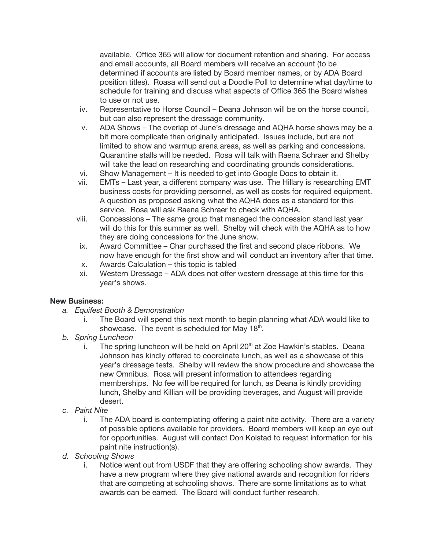available. Office 365 will allow for document retention and sharing. For access and email accounts, all Board members will receive an account (to be determined if accounts are listed by Board member names, or by ADA Board position titles). Roasa will send out a Doodle Poll to determine what day/time to schedule for training and discuss what aspects of Office 365 the Board wishes to use or not use.

- iv. Representative to Horse Council Deana Johnson will be on the horse council, but can also represent the dressage community.
- v. ADA Shows The overlap of June's dressage and AQHA horse shows may be a bit more complicate than originally anticipated. Issues include, but are not limited to show and warmup arena areas, as well as parking and concessions. Quarantine stalls will be needed. Rosa will talk with Raena Schraer and Shelby will take the lead on researching and coordinating grounds considerations.
- vi. Show Management It is needed to get into Google Docs to obtain it.
- vii. EMTs Last year, a different company was use. The Hillary is researching EMT business costs for providing personnel, as well as costs for required equipment. A question as proposed asking what the AQHA does as a standard for this service. Rosa will ask Raena Schraer to check with AQHA.
- viii. Concessions The same group that managed the concession stand last year will do this for this summer as well. Shelby will check with the AQHA as to how they are doing concessions for the June show.
- ix. Award Committee Char purchased the first and second place ribbons. We now have enough for the first show and will conduct an inventory after that time.
- x. Awards Calculation this topic is tabled
- xi. Western Dressage ADA does not offer western dressage at this time for this year's shows.

#### **New Business:**

- *a. Equifest Booth & Demonstration*
	- i. The Board will spend this next month to begin planning what ADA would like to showcase. The event is scheduled for May 18<sup>th</sup>.
- *b. Spring Luncheon*
	- i. The spring luncheon will be held on April  $20<sup>th</sup>$  at Zoe Hawkin's stables. Deana Johnson has kindly offered to coordinate lunch, as well as a showcase of this year's dressage tests. Shelby will review the show procedure and showcase the new Omnibus. Rosa will present information to attendees regarding memberships. No fee will be required for lunch, as Deana is kindly providing lunch, Shelby and Killian will be providing beverages, and August will provide desert.
- *c. Paint Nite*
	- i. The ADA board is contemplating offering a paint nite activity. There are a variety of possible options available for providers. Board members will keep an eye out for opportunities. August will contact Don Kolstad to request information for his paint nite instruction(s).
- *d. Schooling Shows*
	- i. Notice went out from USDF that they are offering schooling show awards. They have a new program where they give national awards and recognition for riders that are competing at schooling shows. There are some limitations as to what awards can be earned. The Board will conduct further research.